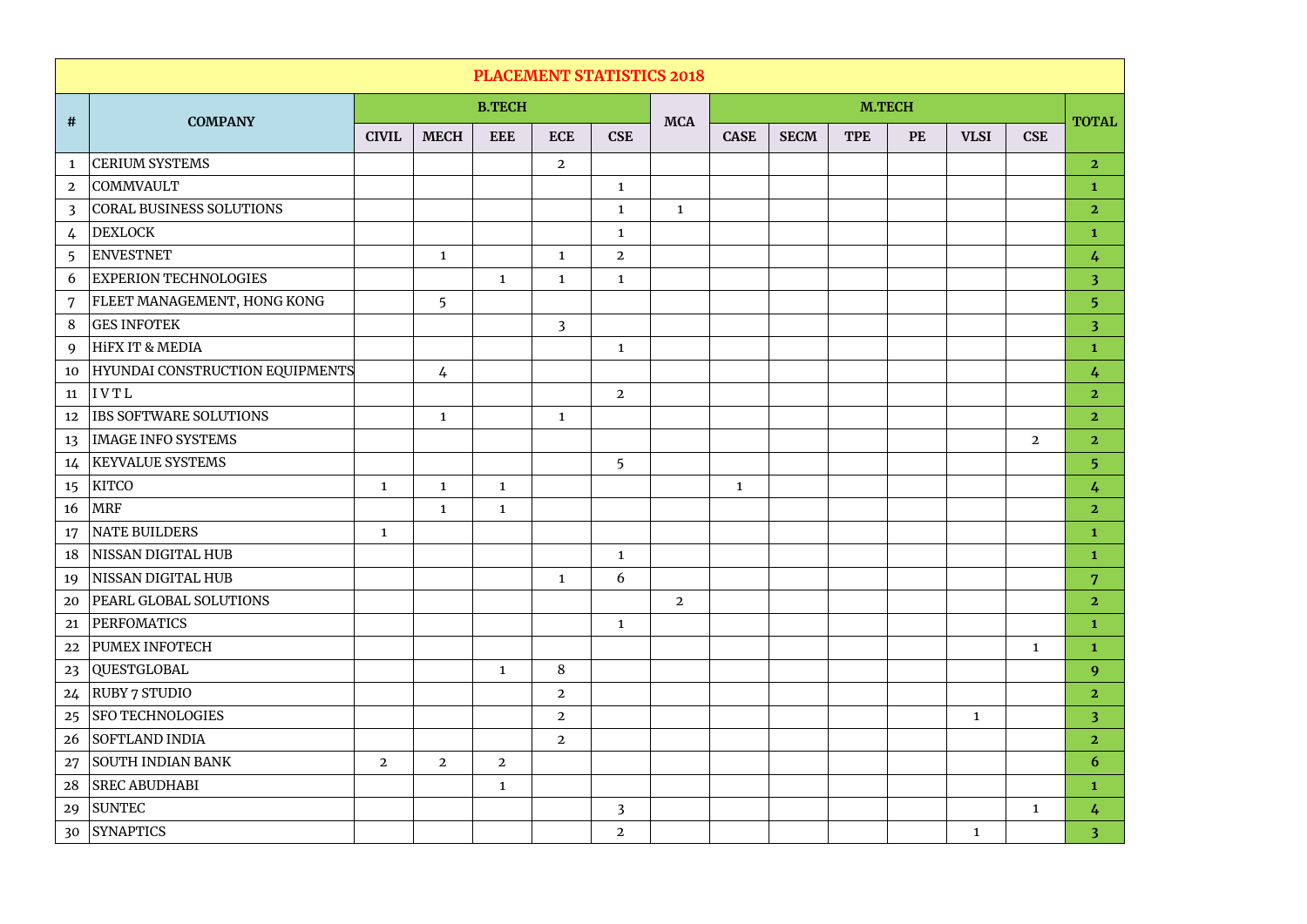| <b>PLACEMENT STATISTICS 2018</b> |                                 |                |                |                |                |                |                |               |             |            |           |              |                |                         |
|----------------------------------|---------------------------------|----------------|----------------|----------------|----------------|----------------|----------------|---------------|-------------|------------|-----------|--------------|----------------|-------------------------|
|                                  | <b>COMPANY</b>                  |                |                | <b>B.TECH</b>  |                |                | <b>MCA</b>     | <b>M.TECH</b> |             |            |           |              |                |                         |
| #                                |                                 | <b>CIVIL</b>   | <b>MECH</b>    | <b>EEE</b>     | <b>ECE</b>     | <b>CSE</b>     |                | <b>CASE</b>   | <b>SECM</b> | <b>TPE</b> | <b>PE</b> | <b>VLSI</b>  | <b>CSE</b>     | <b>TOTAL</b>            |
| $\mathbf{1}$                     | <b>CERIUM SYSTEMS</b>           |                |                |                | $\overline{2}$ |                |                |               |             |            |           |              |                | $\overline{2}$          |
| $\overline{2}$                   | COMMVAULT                       |                |                |                |                | $\mathbf{1}$   |                |               |             |            |           |              |                | $\mathbf{1}$            |
| $\overline{3}$                   | <b>CORAL BUSINESS SOLUTIONS</b> |                |                |                |                | $\mathbf{1}$   | $\mathbf{1}$   |               |             |            |           |              |                | $\overline{2}$          |
| $\frac{1}{4}$                    | <b>DEXLOCK</b>                  |                |                |                |                | $\mathbf{1}$   |                |               |             |            |           |              |                | $\mathbf{1}$            |
| 5                                | <b>ENVESTNET</b>                |                | $\mathbf{1}$   |                | $\mathbf{1}$   | $\overline{2}$ |                |               |             |            |           |              |                | $\frac{1}{4}$           |
| 6                                | <b>EXPERION TECHNOLOGIES</b>    |                |                | $\mathbf{1}$   | $\mathbf{1}$   | $\mathbf{1}$   |                |               |             |            |           |              |                | $\overline{\mathbf{3}}$ |
| 7                                | FLEET MANAGEMENT, HONG KONG     |                | 5              |                |                |                |                |               |             |            |           |              |                | 5 <sup>5</sup>          |
| 8                                | <b>GES INFOTEK</b>              |                |                |                | $\overline{3}$ |                |                |               |             |            |           |              |                | $\overline{\mathbf{3}}$ |
| 9                                | HİFX IT & MEDIA                 |                |                |                |                | $\mathbf{1}$   |                |               |             |            |           |              |                | $\mathbf{1}$            |
| 10                               | HYUNDAI CONSTRUCTION EQUIPMENTS |                | $\frac{1}{2}$  |                |                |                |                |               |             |            |           |              |                | $\frac{1}{4}$           |
| 11                               | IVTL                            |                |                |                |                | $\overline{2}$ |                |               |             |            |           |              |                | $\overline{2}$          |
| 12                               | IBS SOFTWARE SOLUTIONS          |                | $\mathbf{1}$   |                | $\mathbf{1}$   |                |                |               |             |            |           |              |                | $\overline{2}$          |
| 13                               | <b>IMAGE INFO SYSTEMS</b>       |                |                |                |                |                |                |               |             |            |           |              | $\overline{2}$ | $\overline{2}$          |
| 14                               | <b>KEYVALUE SYSTEMS</b>         |                |                |                |                | 5              |                |               |             |            |           |              |                | 5 <sup>5</sup>          |
| 15                               | KITCO                           | $\mathbf{1}$   | $\mathbf{1}$   | $\mathbf{1}$   |                |                |                | $\mathbf{1}$  |             |            |           |              |                | 4                       |
| 16                               | <b>MRF</b>                      |                | $\mathbf{1}$   | $\mathbf{1}$   |                |                |                |               |             |            |           |              |                | $\overline{2}$          |
| 17                               | <b>NATE BUILDERS</b>            | $\mathbf{1}$   |                |                |                |                |                |               |             |            |           |              |                | $\mathbf{1}$            |
| 18                               | NISSAN DIGITAL HUB              |                |                |                |                | $\mathbf{1}$   |                |               |             |            |           |              |                | $\mathbf{1}$            |
| 19                               | NISSAN DIGITAL HUB              |                |                |                | $\mathbf{1}$   | 6              |                |               |             |            |           |              |                | $7\phantom{.}$          |
| 20                               | PEARL GLOBAL SOLUTIONS          |                |                |                |                |                | $\overline{2}$ |               |             |            |           |              |                | 2 <sub>1</sub>          |
| 21                               | PERFOMATICS                     |                |                |                |                | $\mathbf{1}$   |                |               |             |            |           |              |                | $\mathbf{1}$            |
| 22                               | <b>PUMEX INFOTECH</b>           |                |                |                |                |                |                |               |             |            |           |              | $\mathbf{1}$   | $\mathbf{1}$            |
| 23                               | QUESTGLOBAL                     |                |                | $\mathbf{1}$   | 8              |                |                |               |             |            |           |              |                | 9                       |
| 24                               | RUBY 7 STUDIO                   |                |                |                | $\overline{2}$ |                |                |               |             |            |           |              |                | 2 <sub>1</sub>          |
| 25                               | <b>SFO TECHNOLOGIES</b>         |                |                |                | $\overline{2}$ |                |                |               |             |            |           | $\mathbf{1}$ |                | 3 <sup>2</sup>          |
| 26                               | SOFTLAND INDIA                  |                |                |                | $\overline{2}$ |                |                |               |             |            |           |              |                | 2 <sub>1</sub>          |
| 27                               | SOUTH INDIAN BANK               | $\overline{2}$ | $\overline{2}$ | $\overline{2}$ |                |                |                |               |             |            |           |              |                | 6                       |
| 28                               | <b>SREC ABUDHABI</b>            |                |                | $\mathbf{1}$   |                |                |                |               |             |            |           |              |                | $\mathbf{1}$            |
| 29                               | SUNTEC                          |                |                |                |                | $\overline{3}$ |                |               |             |            |           |              | $\mathbf{1}$   | $\frac{1}{4}$           |
| 30 <sup>°</sup>                  | <b>SYNAPTICS</b>                |                |                |                |                | $\overline{2}$ |                |               |             |            |           | $\mathbf{1}$ |                | 3 <sup>1</sup>          |